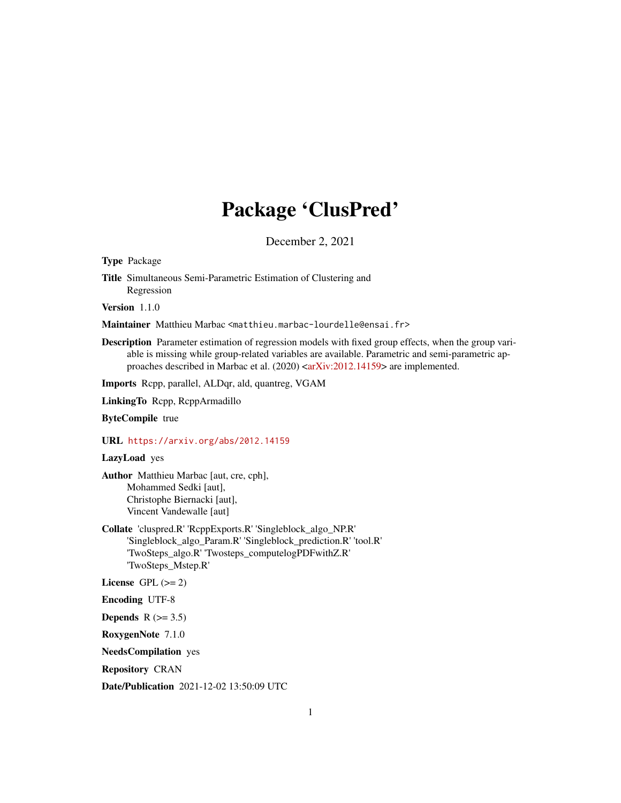## Package 'ClusPred'

December 2, 2021

Type Package

Title Simultaneous Semi-Parametric Estimation of Clustering and Regression

Version 1.1.0

Maintainer Matthieu Marbac <matthieu.marbac-lourdelle@ensai.fr>

Description Parameter estimation of regression models with fixed group effects, when the group variable is missing while group-related variables are available. Parametric and semi-parametric ap-proaches described in Marbac et al. (2020) [<arXiv:2012.14159>](https://arxiv.org/abs/2012.14159) are implemented.

Imports Rcpp, parallel, ALDqr, ald, quantreg, VGAM

LinkingTo Rcpp, RcppArmadillo

ByteCompile true

URL <https://arxiv.org/abs/2012.14159>

LazyLoad yes

Author Matthieu Marbac [aut, cre, cph], Mohammed Sedki [aut], Christophe Biernacki [aut], Vincent Vandewalle [aut]

Collate 'cluspred.R' 'RcppExports.R' 'Singleblock\_algo\_NP.R' 'Singleblock\_algo\_Param.R' 'Singleblock\_prediction.R' 'tool.R' 'TwoSteps\_algo.R' 'Twosteps\_computelogPDFwithZ.R' 'TwoSteps\_Mstep.R'

License GPL  $(>= 2)$ 

Encoding UTF-8

Depends  $R$  ( $>= 3.5$ )

RoxygenNote 7.1.0

NeedsCompilation yes

Repository CRAN

Date/Publication 2021-12-02 13:50:09 UTC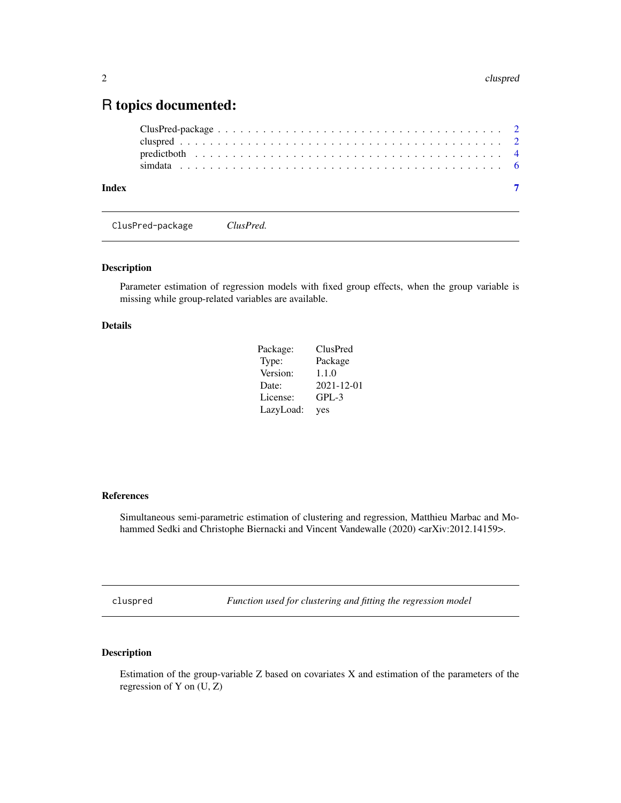### <span id="page-1-0"></span>R topics documented:

| Index |  |  |  |  |  |  |  |  |  |  |  |  |  |  |  |  |  |  |  |
|-------|--|--|--|--|--|--|--|--|--|--|--|--|--|--|--|--|--|--|--|

ClusPred-package *ClusPred.*

#### Description

Parameter estimation of regression models with fixed group effects, when the group variable is missing while group-related variables are available.

#### Details

| Package:  | ClusPred   |
|-----------|------------|
| Type:     | Package    |
| Version:  | 1.1.0      |
| Date:     | 2021-12-01 |
| License:  | $GPL-3$    |
| LazyLoad: | yes        |

#### References

Simultaneous semi-parametric estimation of clustering and regression, Matthieu Marbac and Mohammed Sedki and Christophe Biernacki and Vincent Vandewalle (2020) <arXiv:2012.14159>.

cluspred *Function used for clustering and fitting the regression model*

#### Description

Estimation of the group-variable Z based on covariates X and estimation of the parameters of the regression of Y on (U, Z)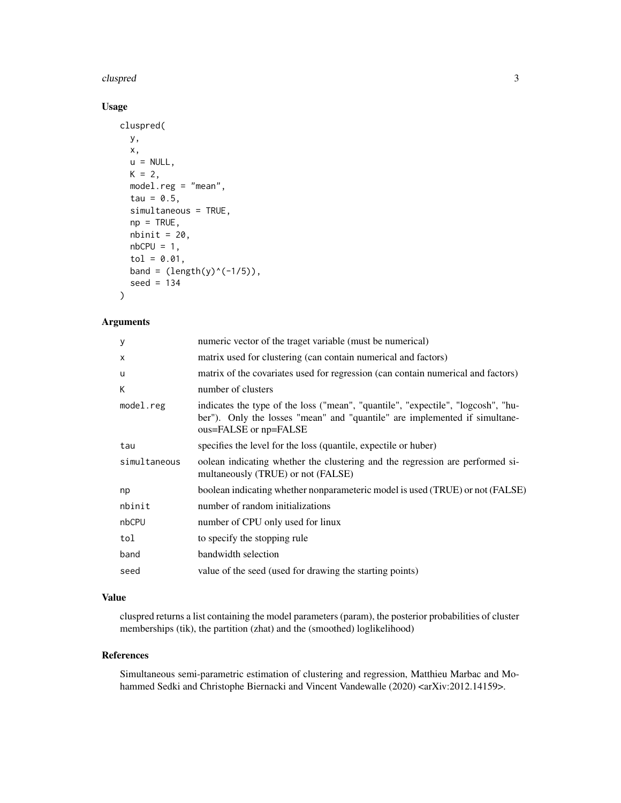#### cluspred 3

#### Usage

```
cluspred(
 y,
 x,
 u = NULL,K = 2,model.reg = "mean",
  tau = 0.5,
  simultaneous = TRUE,
 np = TRUE,nbinit = 20,
 nbCPU = 1,tol = 0.01,band = (length(y)^(-1/5)),
  seed = 134
)
```
#### Arguments

| У            | numeric vector of the traget variable (must be numerical)                                                                                                                               |
|--------------|-----------------------------------------------------------------------------------------------------------------------------------------------------------------------------------------|
| X            | matrix used for clustering (can contain numerical and factors)                                                                                                                          |
| u            | matrix of the covariates used for regression (can contain numerical and factors)                                                                                                        |
| К            | number of clusters                                                                                                                                                                      |
| model.reg    | indicates the type of the loss ("mean", "quantile", "expectile", "logcosh", "hu-<br>ber"). Only the losses "mean" and "quantile" are implemented if simultane-<br>ous=FALSE or np=FALSE |
| tau          | specifies the level for the loss (quantile, expectile or huber)                                                                                                                         |
| simultaneous | oolean indicating whether the clustering and the regression are performed si-<br>multaneously (TRUE) or not (FALSE)                                                                     |
| np           | boolean indicating whether nonparameteric model is used (TRUE) or not (FALSE)                                                                                                           |
| nbinit       | number of random initializations                                                                                                                                                        |
| nbCPU        | number of CPU only used for linux                                                                                                                                                       |
| tol          | to specify the stopping rule                                                                                                                                                            |
| band         | bandwidth selection                                                                                                                                                                     |
| seed         | value of the seed (used for drawing the starting points)                                                                                                                                |

#### Value

cluspred returns a list containing the model parameters (param), the posterior probabilities of cluster memberships (tik), the partition (zhat) and the (smoothed) loglikelihood)

#### References

Simultaneous semi-parametric estimation of clustering and regression, Matthieu Marbac and Mohammed Sedki and Christophe Biernacki and Vincent Vandewalle (2020) <arXiv:2012.14159>.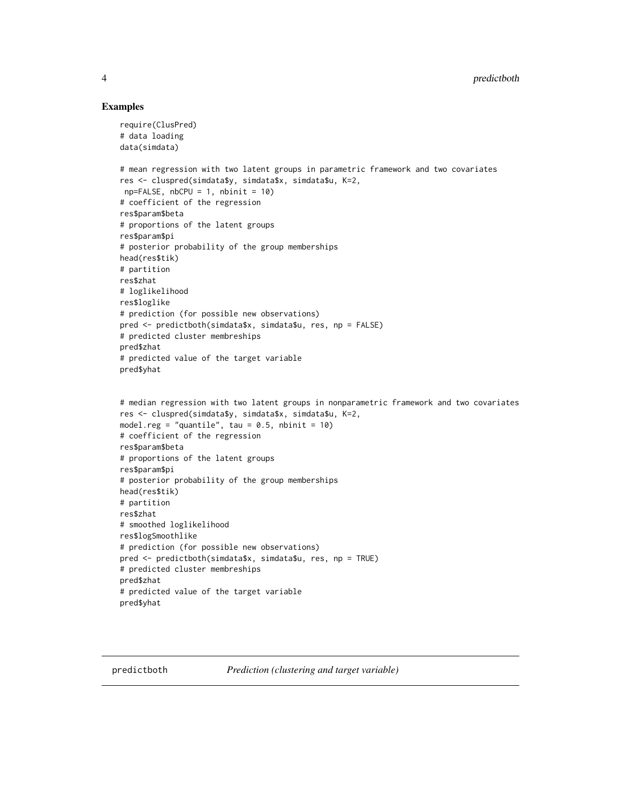#### Examples

```
require(ClusPred)
# data loading
data(simdata)
# mean regression with two latent groups in parametric framework and two covariates
res <- cluspred(simdata$y, simdata$x, simdata$u, K=2,
np = FALSE, nbCPU = 1, nbinit = 10)# coefficient of the regression
res$param$beta
# proportions of the latent groups
res$param$pi
# posterior probability of the group memberships
head(res$tik)
# partition
res$zhat
# loglikelihood
res$loglike
# prediction (for possible new observations)
pred <- predictboth(simdata$x, simdata$u, res, np = FALSE)
# predicted cluster membreships
pred$zhat
# predicted value of the target variable
pred$yhat
# median regression with two latent groups in nonparametric framework and two covariates
res <- cluspred(simdata$y, simdata$x, simdata$u, K=2,
model.reg = "quantile", tau = 0.5, nbinit = 10)
# coefficient of the regression
res$param$beta
# proportions of the latent groups
res$param$pi
# posterior probability of the group memberships
head(res$tik)
# partition
res$zhat
# smoothed loglikelihood
res$logSmoothlike
# prediction (for possible new observations)
pred <- predictboth(simdata$x, simdata$u, res, np = TRUE)
# predicted cluster membreships
pred$zhat
# predicted value of the target variable
pred$yhat
```
predictboth *Prediction (clustering and target variable)*

<span id="page-3-0"></span>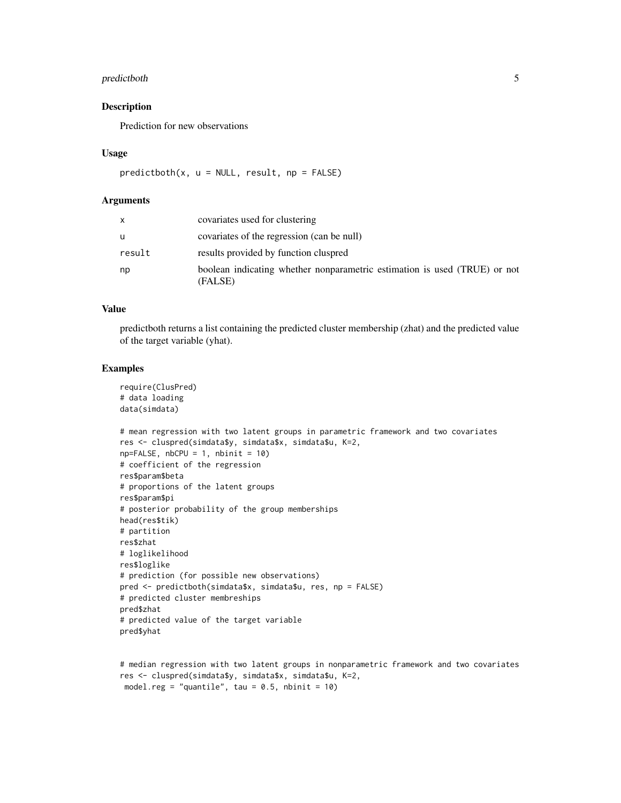#### predictboth 5

#### Description

Prediction for new observations

#### Usage

```
predict both(x, u = NULL, result, np = FALSE)
```
#### Arguments

| X      | covariates used for clustering                                                       |
|--------|--------------------------------------------------------------------------------------|
| u      | covariates of the regression (can be null)                                           |
| result | results provided by function cluspred                                                |
| np     | boolean indicating whether nonparametric estimation is used (TRUE) or not<br>(FALSE) |

#### Value

predictboth returns a list containing the predicted cluster membership (zhat) and the predicted value of the target variable (yhat).

#### Examples

```
require(ClusPred)
# data loading
data(simdata)
# mean regression with two latent groups in parametric framework and two covariates
res <- cluspred(simdata$y, simdata$x, simdata$u, K=2,
np = FALSE, nbCPU = 1, nbinit = 10)# coefficient of the regression
res$param$beta
# proportions of the latent groups
res$param$pi
# posterior probability of the group memberships
head(res$tik)
# partition
res$zhat
# loglikelihood
res$loglike
# prediction (for possible new observations)
pred <- predictboth(simdata$x, simdata$u, res, np = FALSE)
# predicted cluster membreships
pred$zhat
# predicted value of the target variable
pred$yhat
```

```
# median regression with two latent groups in nonparametric framework and two covariates
res <- cluspred(simdata$y, simdata$x, simdata$u, K=2,
model.reg = "quantile", tau = 0.5, nbinit = 10)
```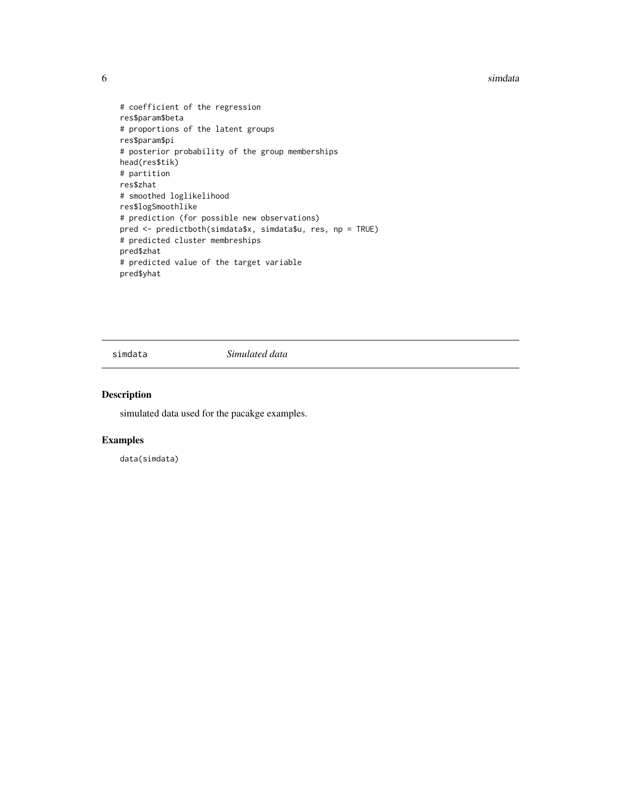<span id="page-5-0"></span>6 simdata and the simulation of the simulation of the simulation of the simulation of the simulation of the simulation of the simulation of the simulation of the simulation of the simulation of the simulation of the simula

```
# coefficient of the regression
res$param$beta
# proportions of the latent groups
res$param$pi
# posterior probability of the group memberships
head(res$tik)
# partition
res$zhat
# smoothed loglikelihood
res$logSmoothlike
# prediction (for possible new observations)
pred <- predictboth(simdata$x, simdata$u, res, np = TRUE)
# predicted cluster membreships
pred$zhat
# predicted value of the target variable
pred$yhat
```
simdata *Simulated data*

#### Description

simulated data used for the pacakge examples.

#### Examples

data(simdata)